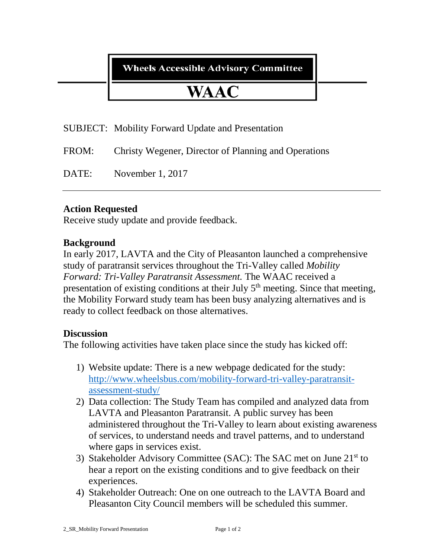**Wheels Accessible Advisory Committee** 

# **WAAC**

SUBJECT: Mobility Forward Update and Presentation

FROM: Christy Wegener, Director of Planning and Operations

DATE: November 1, 2017

## **Action Requested**

Receive study update and provide feedback.

### **Background**

In early 2017, LAVTA and the City of Pleasanton launched a comprehensive study of paratransit services throughout the Tri-Valley called *Mobility Forward: Tri-Valley Paratransit Assessment.* The WAAC received a presentation of existing conditions at their July 5<sup>th</sup> meeting. Since that meeting, the Mobility Forward study team has been busy analyzing alternatives and is ready to collect feedback on those alternatives.

#### **Discussion**

The following activities have taken place since the study has kicked off:

- 1) Website update: There is a new webpage dedicated for the study: [http://www.wheelsbus.com/mobility-forward-tri-valley-paratransit](http://www.wheelsbus.com/mobility-forward-tri-valley-paratransit-assessment-study/)[assessment-study/](http://www.wheelsbus.com/mobility-forward-tri-valley-paratransit-assessment-study/)
- 2) Data collection: The Study Team has compiled and analyzed data from LAVTA and Pleasanton Paratransit. A public survey has been administered throughout the Tri-Valley to learn about existing awareness of services, to understand needs and travel patterns, and to understand where gaps in services exist.
- 3) Stakeholder Advisory Committee (SAC): The SAC met on June 21<sup>st</sup> to hear a report on the existing conditions and to give feedback on their experiences.
- 4) Stakeholder Outreach: One on one outreach to the LAVTA Board and Pleasanton City Council members will be scheduled this summer.